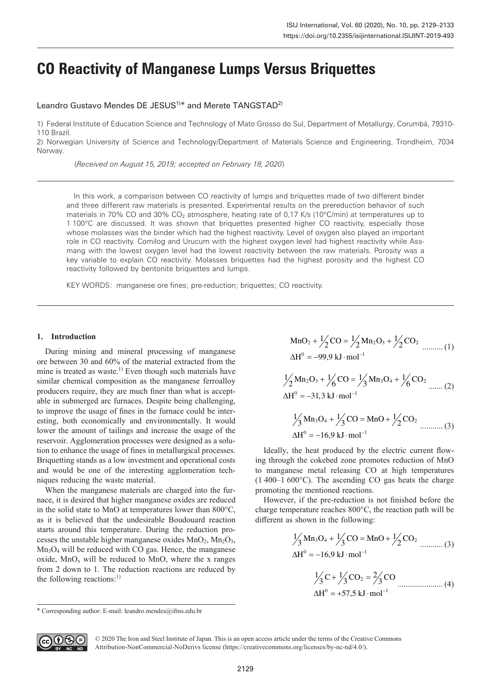# **CO Reactivity of Manganese Lumps Versus Briquettes**

Leandro Gustavo Mendes DE JESUS<sup>1)\*</sup> and Merete TANGSTAD<sup>2)</sup>

1) Federal Institute of Education Science and Technology of Mato Grosso do Sul, Department of Metallurgy, Corumbá, 79310- 110 Brazil.

2) Norwegian University of Science and Technology/Department of Materials Science and Engineering, Trondheim, 7034 Norway.

(*Received on August 15, 2019; accepted on February 18, 2020*)

In this work, a comparison between CO reactivity of lumps and briquettes made of two different binder and three different raw materials is presented. Experimental results on the prereduction behavior of such materials in 70% CO and 30% CO<sub>2</sub> atmosphere, heating rate of 0,17 K/s (10°C/min) at temperatures up to 1 100°C are discussed. It was shown that briquettes presented higher CO reactivity, especially those whose molasses was the binder which had the highest reactivity. Level of oxygen also played an important role in CO reactivity. Comilog and Urucum with the highest oxygen level had highest reactivity while Assmang with the lowest oxygen level had the lowest reactivity between the raw materials. Porosity was a key variable to explain CO reactivity. Molasses briquettes had the highest porosity and the highest CO reactivity followed by bentonite briquettes and lumps.

KEY WORDS: manganese ore fines; pre-reduction; briquettes; CO reactivity.

## **1. Introduction**

During mining and mineral processing of manganese ore between 30 and 60% of the material extracted from the mine is treated as waste.<sup>1)</sup> Even though such materials have similar chemical composition as the manganese ferroalloy producers require, they are much finer than what is acceptable in submerged arc furnaces. Despite being challenging, to improve the usage of fines in the furnace could be interesting, both economically and environmentally. It would lower the amount of tailings and increase the usage of the reservoir. Agglomeration processes were designed as a solution to enhance the usage of fines in metallurgical processes. Briquetting stands as a low investment and operational costs and would be one of the interesting agglomeration techniques reducing the waste material.

When the manganese materials are charged into the furnace, it is desired that higher manganese oxides are reduced in the solid state to MnO at temperatures lower than 800°C, as it is believed that the undesirable Boudouard reaction starts around this temperature. During the reduction processes the unstable higher manganese oxides  $MnO_2$ ,  $Mn_2O_3$ ,  $Mn<sub>3</sub>O<sub>4</sub>$  will be reduced with CO gas. Hence, the manganese oxide,  $MnO_x$  will be reduced to MnO, where the x ranges from 2 down to 1. The reduction reactions are reduced by the following reactions: $^{1}$ 

MnO<sub>2</sub> + 
$$
\frac{1}{2}
$$
CO =  $\frac{1}{2}$ Mn<sub>2</sub>O<sub>3</sub> +  $\frac{1}{2}$ CO<sub>2</sub> .........(1)  
ΔH<sup>0</sup> = -99,9 kJ·mol<sup>-1</sup>

$$
\frac{1}{2}Mn_2O_3 + \frac{1}{6}CO = \frac{1}{3}Mn_3O_4 + \frac{1}{6}CO_2
$$
........(2)  

$$
\Delta H^0 = -31,3 \text{ kJ} \cdot \text{mol}^{-1}
$$

$$
\frac{1}{3}Mn_3O_4 + \frac{1}{3}CO = MnO + \frac{1}{2}CO_2
$$
  
  $\Delta H^0 = -16.9 \text{ kJ} \cdot \text{mol}^{-1}$  (3)

Ideally, the heat produced by the electric current flowing through the cokebed zone promotes reduction of MnO to manganese metal releasing CO at high temperatures  $(1.400-1.600\degree C)$ . The ascending CO gas heats the charge promoting the mentioned reactions.

However, if the pre-reduction is not finished before the charge temperature reaches 800°C, the reaction path will be different as shown in the following:

$$
\frac{1}{3} \text{Mn}_3\text{O}_4 + \frac{1}{3} \text{CO} = \text{MnO} + \frac{1}{2} \text{CO}_2
$$
\n
$$
\Delta H^0 = -16.9 \text{ kJ} \cdot \text{mol}^{-1}
$$
\n
$$
\frac{1}{3} \text{C} + \frac{1}{3} \text{CO}_2 = \frac{2}{3} \text{CO}
$$
\n(4)

$$
\Delta H^0 = +57.5 \text{ kJ} \cdot \text{mol}^{-1}
$$

<sup>\*</sup> Corresponding author: E-mail: leandro.mendes@ifms.edu.br



© 2020 The Iron and Steel Institute of Japan. This is an open access article under the terms of the Creative Commons Attribution-NonCommercial-NoDerivs license (https://creativecommons.org/licenses/by-nc-nd/4.0/).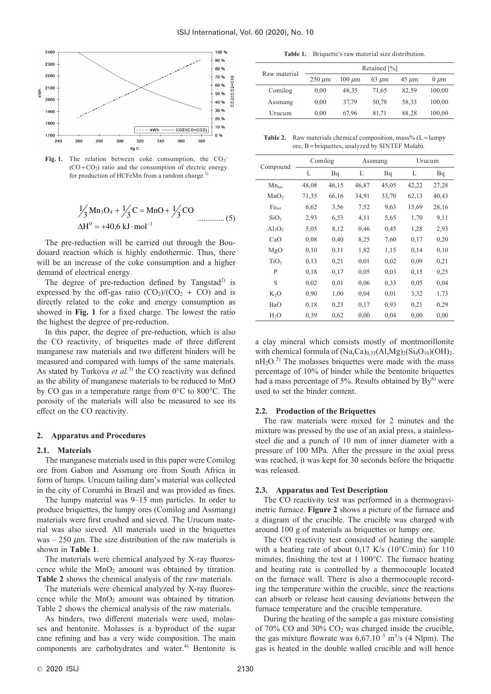

Fig. 1. The relation between coke consumption, the  $CO<sub>2</sub>/$  $(CO + CO<sub>2</sub>)$  ratio and the consumption of electric energy for production of HCFeMn from a random charge.<sup>2)</sup>

$$
\frac{1}{3}Mn_3O_4 + \frac{1}{3}C = MnO + \frac{1}{3}CO
$$
  
\n
$$
\Delta H^0 = +40,6 \text{ kJ} \cdot mol^{-1}
$$
 (5)

The pre-reduction will be carried out through the Boudouard reaction which is highly endothermic. Thus, there will be an increase of the coke consumption and a higher demand of electrical energy.

The degree of pre-reduction defined by Tangstad<sup>2)</sup> is expressed by the off-gas ratio  $(CO_2)/(CO_2 + CO)$  and is directly related to the coke and energy consumption as showed in **Fig. 1** for a fixed charge. The lowest the ratio the highest the degree of pre-reduction.

In this paper, the degree of pre-reduction, which is also the CO reactivity, of briquettes made of three different manganese raw materials and two different binders will be measured and compared with lumps of the same materials. As stated by Turkova *et al.*<sup>3)</sup> the CO reactivity was defined as the ability of manganese materials to be reduced to MnO by CO gas in a temperature range from 0°C to 800°C. The porosity of the materials will also be measured to see its effect on the CO reactivity.

#### **2. Apparatus and Procedures**

#### **2.1. Materials**

The manganese materials used in this paper were Comilog ore from Gabon and Assmang ore from South Africa in form of lumps. Urucum tailing dam's material was collected in the city of Corumbá in Brazil and was provided as fines.

The lumpy material was 9–15 mm particles. In order to produce briquettes, the lumpy ores (Comilog and Assmang) materials were first crushed and sieved. The Urucum material was also sieved. All materials used in the briquettes was – 250  $\mu$ m. The size distribution of the raw materials is shown in **Table 1**.

The materials were chemical analyzed by X-ray fluorescence while the  $MnO<sub>2</sub>$  amount was obtained by titration. **Table 2** shows the chemical analysis of the raw materials.

The materials were chemical analyzed by X-ray fluorescence while the  $MnO<sub>2</sub>$  amount was obtained by titration. Table 2 shows the chemical analysis of the raw materials.

As binders, two different materials were used, molasses and bentonite. Molasses is a byproduct of the sugar cane refining and has a very wide composition. The main components are carbohydrates and water.<sup>4)</sup> Bentonite is

**Table 1.** Briquette's raw material size distribution.

| Raw material | Retained [%] |               |            |            |           |  |  |  |
|--------------|--------------|---------------|------------|------------|-----------|--|--|--|
|              | $250 \mu m$  | $100 \ \mu m$ | $63 \mu m$ | $45 \mu m$ | $0 \mu m$ |  |  |  |
| Comilog      | 0.00         | 48,35         | 71,65      | 82,59      | 100,00    |  |  |  |
| Assmang      | 0.00         | 37.79         | 50.78      | 58.33      | 100,00    |  |  |  |
| Urucum       | 0.00         | 67.96         | 81.71      | 88.28      | 100,00    |  |  |  |

Table 2. Raw materials chemical composition, mass% (L=lumpy ore, B= briquettes, analyzed by SINTEF Molab).

|                   |       | Comilog |       | Assmang | Urucum |       |
|-------------------|-------|---------|-------|---------|--------|-------|
| Compound          | L     | Bq      | L     | Bq      | L      | Bq    |
| $Mn_{\text{tot}}$ | 48,08 | 46,15   | 46,87 | 45,05   | 42,22  | 27,28 |
| MnO <sub>2</sub>  | 71,35 | 66,16   | 34,91 | 33,70   | 62,13  | 40,43 |
| Fe <sub>tot</sub> | 6,62  | 3,56    | 7,52  | 9,63    | 15,69  | 28,16 |
| SiO <sub>2</sub>  | 2,93  | 6,53    | 4,11  | 5,65    | 1,70   | 9,11  |
| $Al_2O_3$         | 5,05  | 8,12    | 0,46  | 0,45    | 1,28   | 2,93  |
| CaO               | 0,08  | 0.40    | 8,25  | 7,60    | 0,17   | 0,20  |
| MgO               | 0,10  | 0,11    | 1,82  | 1,15    | 0,14   | 0,10  |
| TiO <sub>2</sub>  | 0,13  | 0,21    | 0,01  | 0.02    | 0,09   | 0,21  |
| P                 | 0,18  | 0,17    | 0,05  | 0.03    | 0,15   | 0.25  |
| S                 | 0,02  | 0,01    | 0,06  | 0,33    | 0,05   | 0,04  |
| $K_2O$            | 0,90  | 1,00    | 0,04  | 0,01    | 3,32   | 1,73  |
| <b>BaO</b>        | 0,18  | 0,23    | 0,17  | 0,93    | 0,21   | 0,29  |
| H <sub>2</sub> O  | 0,39  | 0,62    | 0,00  | 0,04    | 0,00   | 0.00  |

a clay mineral which consists mostly of montmorillonite with chemical formula of  $(Na,Ca)_{0,33}(Al,Mg)_{2}(Si_4O_{10})(OH)_2$ .  $nH<sub>2</sub>O<sub>z</sub><sup>5)</sup>$  The molasses briquettes were made with the mass percentage of 10% of binder while the bentonite briquettes had a mass percentage of 5%. Results obtained by  $By^{6}$  were used to set the binder content.

# **2.2. Production of the Briquettes**

The raw materials were mixed for 2 minutes and the mixture was pressed by the use of an axial press, a stainlesssteel die and a punch of 10 mm of inner diameter with a pressure of 100 MPa. After the pressure in the axial press was reached, it was kept for 30 seconds before the briquette was released.

## **2.3. Apparatus and Test Description**

The CO reactivity test was performed in a thermogravimetric furnace. **Figure 2** shows a picture of the furnace and a diagram of the crucible. The crucible was charged with around 100 g of materials as briquettes or lumpy ore.

The CO reactivity test consisted of heating the sample with a heating rate of about 0,17 K/s (10°C/min) for 110 minutes, finishing the test at 1 100°C. The furnace heating and heating rate is controlled by a thermocouple located on the furnace wall. There is also a thermocouple recording the temperature within the crucible, since the reactions can absorb or release heat causing deviations between the furnace temperature and the crucible temperature.

During the heating of the sample a gas mixture consisting of  $70\%$  CO and  $30\%$  CO<sub>2</sub> was charged inside the crucible, the gas mixture flowrate was  $6{,}67.10^{-5}$  m<sup>3</sup>/s (4 Nlpm). The gas is heated in the double walled crucible and will hence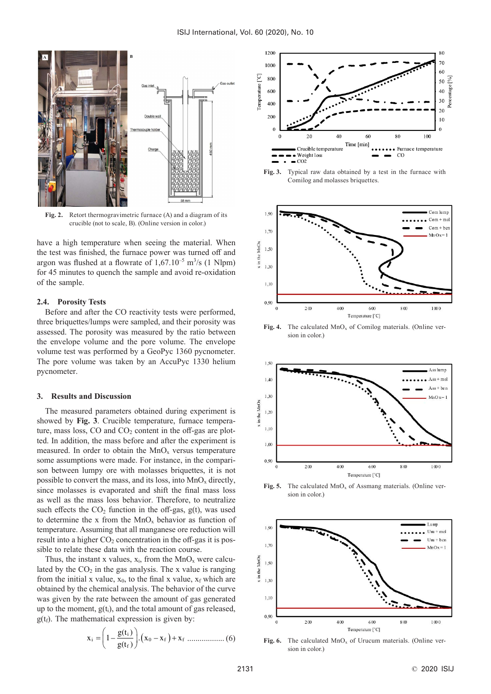

**Fig. 2.** Retort thermogravimetric furnace (A) and a diagram of its crucible (not to scale, B). (Online version in color.)

have a high temperature when seeing the material. When the test was finished, the furnace power was turned off and argon was flushed at a flowrate of  $1,67.10^{-5}$  m<sup>3</sup>/s (1 Nlpm) for 45 minutes to quench the sample and avoid re-oxidation of the sample.

## **2.4. Porosity Tests**

Before and after the CO reactivity tests were performed, three briquettes/lumps were sampled, and their porosity was assessed. The porosity was measured by the ratio between the envelope volume and the pore volume. The envelope volume test was performed by a GeoPyc 1360 pycnometer. The pore volume was taken by an AccuPyc 1330 helium pycnometer.

#### **3. Results and Discussion**

The measured parameters obtained during experiment is showed by **Fig. 3**. Crucible temperature, furnace temperature, mass loss,  $CO$  and  $CO<sub>2</sub>$  content in the off-gas are plotted. In addition, the mass before and after the experiment is measured. In order to obtain the  $MnO<sub>x</sub>$  versus temperature some assumptions were made. For instance, in the comparison between lumpy ore with molasses briquettes, it is not possible to convert the mass, and its loss, into  $MnO<sub>x</sub>$  directly, since molasses is evaporated and shift the final mass loss as well as the mass loss behavior. Therefore, to neutralize such effects the  $CO<sub>2</sub>$  function in the off-gas,  $g(t)$ , was used to determine the x from the  $MnO<sub>x</sub>$  behavior as function of temperature. Assuming that all manganese ore reduction will result into a higher  $CO<sub>2</sub>$  concentration in the off-gas it is possible to relate these data with the reaction course.

Thus, the instant x values,  $x_i$ , from the MnO<sub>x</sub> were calculated by the  $CO<sub>2</sub>$  in the gas analysis. The x value is ranging from the initial x value,  $x_0$ , to the final x value,  $x_f$  which are obtained by the chemical analysis. The behavior of the curve was given by the rate between the amount of gas generated up to the moment,  $g(t_i)$ , and the total amount of gas released,  $g(t_f)$ . The mathematical expression is given by:

$$
\mathbf{x}_{i} = \left(1 - \frac{\mathbf{g}(\mathbf{t}_{i})}{\mathbf{g}(\mathbf{t}_{f})}\right) \cdot (\mathbf{x}_{0} - \mathbf{x}_{f}) + \mathbf{x}_{f} \dots \dots \dots \dots \dots \dots \dots \tag{6}
$$



**Fig. 3.** Typical raw data obtained by a test in the furnace with Comilog and molasses briquettes.



Fig. 4. The calculated MnO<sub>x</sub> of Comilog materials. (Online version in color.)



**Fig. 5.** The calculated  $\text{MnO}_x$  of Assmang materials. (Online version in color.)



**Fig. 6.** The calculated  $\text{MnO}_x$  of Urucum materials. (Online version in color.)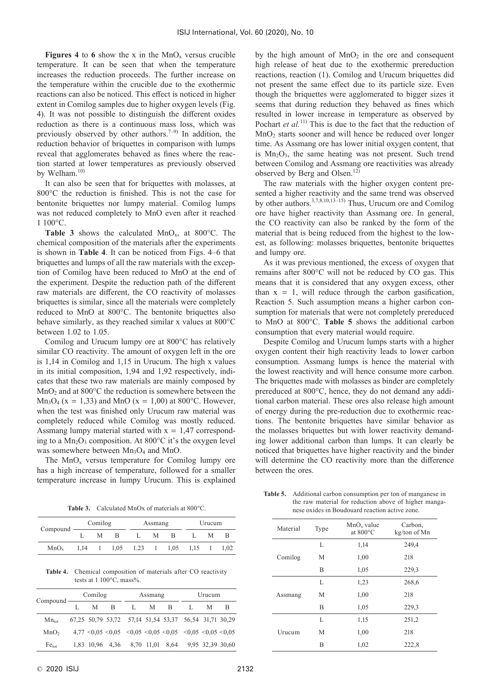**Figures 4** to 6 show the x in the  $MnO_x$  versus crucible temperature. It can be seen that when the temperature increases the reduction proceeds. The further increase on the temperature within the crucible due to the exothermic reactions can also be noticed. This effect is noticed in higher extent in Comilog samples due to higher oxygen levels (Fig. 4). It was not possible to distinguish the different oxides reduction as there is a continuous mass loss, which was previously observed by other authors.<sup>7–9)</sup> In addition, the reduction behavior of briquettes in comparison with lumps reveal that agglomerates behaved as fines where the reaction started at lower temperatures as previously observed by Welham.<sup>10)</sup>

It can also be seen that for briquettes with molasses, at 800°C the reduction is finished. This is not the case for bentonite briquettes nor lumpy material. Comilog lumps was not reduced completely to MnO even after it reached 1 100°C.

**Table 3** shows the calculated  $MnO_x$ , at 800°C. The chemical composition of the materials after the experiments is shown in **Table 4**. It can be noticed from Figs. 4–6 that briquettes and lumps of all the raw materials with the exception of Comilog have been reduced to MnO at the end of the experiment. Despite the reduction path of the different raw materials are different, the CO reactivity of molasses briquettes is similar, since all the materials were completely reduced to MnO at 800°C. The bentonite briquettes also behave similarly, as they reached similar x values at 800°C between 1.02 to 1.05.

Comilog and Urucum lumpy ore at 800°C has relatively similar CO reactivity. The amount of oxygen left in the ore is 1,14 in Comilog and 1,15 in Urucum. The high x values in its initial composition, 1,94 and 1,92 respectively, indicates that these two raw materials are mainly composed by  $MnO<sub>2</sub>$  and at 800 $^{\circ}$ C the reduction is somewhere between the Mn<sub>3</sub>O<sub>4</sub> (x = 1,33) and MnO (x = 1,00) at 800°C. However, when the test was finished only Urucum raw material was completely reduced while Comilog was mostly reduced. Assmang lumpy material started with  $x = 1.47$  corresponding to a  $Mn_2O_3$  composition. At 800 $^{\circ}$ C it's the oxygen level was somewhere between  $Mn_3O_4$  and MnO.

The  $MnO_x$  versus temperature for Comilog lumpy ore has a high increase of temperature, followed for a smaller temperature increase in lumpy Urucum. This is explained

**Table 3.** Calculated MnOx of materials at 800°C.

|                  |      | Comilog |   | Assmang     |   | Urucum                    |  |   |      |
|------------------|------|---------|---|-------------|---|---------------------------|--|---|------|
| Compound         |      | М       | В |             | M | в                         |  | М |      |
| MnO <sub>v</sub> | 1.14 |         |   | $1,05$ 1.23 |   | $1 \quad 1.05 \quad 1.15$ |  |   | 1.02 |

**Table 4.** Chemical composition of materials after CO reactivity tests at 1 100°C, mass%.

|                   | Comilog |   |              | Assmang |     |  | Urucum                                                                         |   |    |
|-------------------|---------|---|--------------|---------|-----|--|--------------------------------------------------------------------------------|---|----|
| $Compound$ —      | L       | M | <sup>B</sup> | L.      | M B |  |                                                                                | M | -B |
| $Mn_{\text{tot}}$ |         |   |              |         |     |  | 67,25 50,79 53,72 57,14 51,54 53,37 56,54 31,71 30,29                          |   |    |
| MnO <sub>2</sub>  |         |   |              |         |     |  | $4.77 \le 0.05 \le 0.05 \le 0.05 \le 0.05 \le 0.05 \le 0.05 \le 0.05 \le 0.05$ |   |    |
| Fe <sub>tot</sub> |         |   |              |         |     |  | 1,83 10,96 4,36 8,70 11,01 8,64 9,95 32,39 30,60                               |   |    |

by the high amount of  $MnO<sub>2</sub>$  in the ore and consequent high release of heat due to the exothermic prereduction reactions, reaction (1). Comilog and Urucum briquettes did not present the same effect due to its particle size. Even though the briquettes were agglomerated to bigger sizes it seems that during reduction they behaved as fines which resulted in lower increase in temperature as observed by Pochart *et al.*<sup>11)</sup> This is due to the fact that the reduction of  $MnO<sub>2</sub>$  starts sooner and will hence be reduced over longer time. As Assmang ore has lower initial oxygen content, that is  $Mn_2O_3$ , the same heating was not present. Such trend between Comilog and Assmang ore reactivities was already observed by Berg and Olsen.12)

The raw materials with the higher oxygen content presented a higher reactivity and the same trend was observed by other authors.3,7,8,10,13–15) Thus, Urucum ore and Comilog ore have higher reactivity than Assmang ore. In general, the CO reactivity can also be ranked by the form of the material that is being reduced from the highest to the lowest, as following: molasses briquettes, bentonite briquettes and lumpy ore.

As it was previous mentioned, the excess of oxygen that remains after 800°C will not be reduced by CO gas. This means that it is considered that any oxygen excess, other than  $x = 1$ , will reduce through the carbon gasification, Reaction 5. Such assumption means a higher carbon consumption for materials that were not completely prereduced to MnO at 800°C. **Table 5** shows the additional carbon consumption that every material would require.

Despite Comilog and Urucum lumps starts with a higher oxygen content their high reactivity leads to lower carbon consumption. Assmang lumps is hence the material with the lowest reactivity and will hence consume more carbon. The briquettes made with molasses as binder are completely prereduced at 800°C, hence, they do not demand any additional carbon material. These ores also release high amount of energy during the pre-reduction due to exothermic reactions. The bentonite briquettes have similar behavior as the molasses briquettes but with lower reactivity demanding lower additional carbon than lumps. It can clearly be noticed that briquettes have higher reactivity and the binder will determine the CO reactivity more than the difference between the ores.

**Table 5.** Additional carbon consumption per ton of manganese in the raw material for reduction above of higher manganese oxides in Boudouard reaction active zone.

| Material | Type | $MnOx$ value<br>at $800^{\circ}$ C | Carbon,<br>kg/ton of Mn |
|----------|------|------------------------------------|-------------------------|
| Comilog  | L    | 1,14                               | 249,4                   |
|          | М    | 1,00                               | 218                     |
|          | B    | 1,05                               | 229,3                   |
| Assmang  | L    | 1,23                               | 268,6                   |
|          | M    | 1,00                               | 218                     |
|          | B    | 1,05                               | 229,3                   |
| Urucum   | L    | 1,15                               | 251,2                   |
|          | M    | 1,00                               | 218                     |
|          | B    | 1,02                               | 222,8                   |